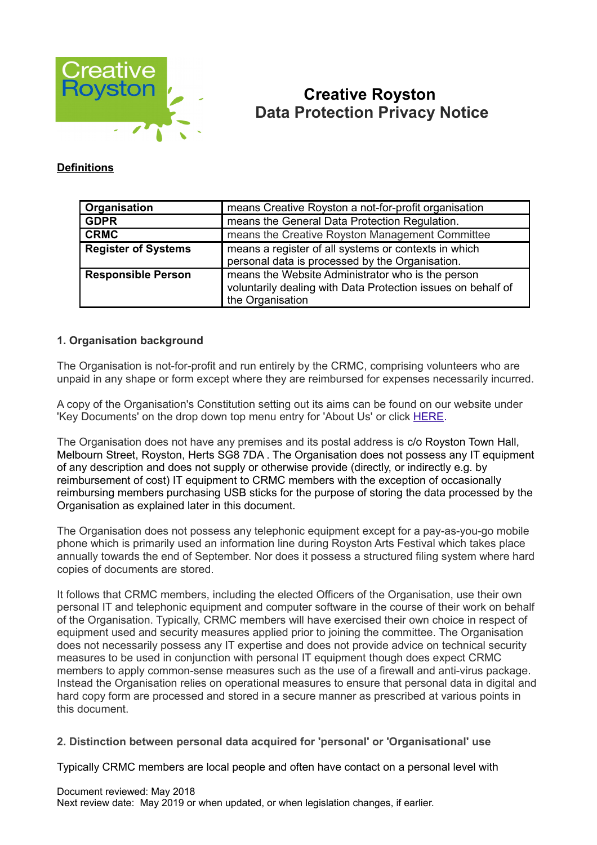

# **Creative Royston Data Protection Privacy Notice**

#### **Definitions**

| Organisation               | means Creative Royston a not-for-profit organisation                                                                                  |
|----------------------------|---------------------------------------------------------------------------------------------------------------------------------------|
| <b>GDPR</b>                | means the General Data Protection Regulation.                                                                                         |
| <b>CRMC</b>                | means the Creative Royston Management Committee                                                                                       |
| <b>Register of Systems</b> | means a register of all systems or contexts in which<br>personal data is processed by the Organisation.                               |
| <b>Responsible Person</b>  | means the Website Administrator who is the person<br>voluntarily dealing with Data Protection issues on behalf of<br>the Organisation |

#### **1. Organisation background**

The Organisation is not-for-profit and run entirely by the CRMC, comprising volunteers who are unpaid in any shape or form except where they are reimbursed for expenses necessarily incurred.

A copy of the Organisation's Constitution setting out its aims can be found on our website under 'Key Documents' on the drop down top menu entry for 'About Us' or click [HERE.](http://www.creativeroyston.org/?page_id=24)

The Organisation does not have any premises and its postal address is c/o Royston Town Hall, Melbourn Street, Royston, Herts SG8 7DA . The Organisation does not possess any IT equipment of any description and does not supply or otherwise provide (directly, or indirectly e.g. by reimbursement of cost) IT equipment to CRMC members with the exception of occasionally reimbursing members purchasing USB sticks for the purpose of storing the data processed by the Organisation as explained later in this document.

The Organisation does not possess any telephonic equipment except for a pay-as-you-go mobile phone which is primarily used an information line during Royston Arts Festival which takes place annually towards the end of September. Nor does it possess a structured filing system where hard copies of documents are stored.

It follows that CRMC members, including the elected Officers of the Organisation, use their own personal IT and telephonic equipment and computer software in the course of their work on behalf of the Organisation. Typically, CRMC members will have exercised their own choice in respect of equipment used and security measures applied prior to joining the committee. The Organisation does not necessarily possess any IT expertise and does not provide advice on technical security measures to be used in conjunction with personal IT equipment though does expect CRMC members to apply common-sense measures such as the use of a firewall and anti-virus package. Instead the Organisation relies on operational measures to ensure that personal data in digital and hard copy form are processed and stored in a secure manner as prescribed at various points in this document.

#### **2. Distinction between personal data acquired for 'personal' or 'Organisational' use**

Typically CRMC members are local people and often have contact on a personal level with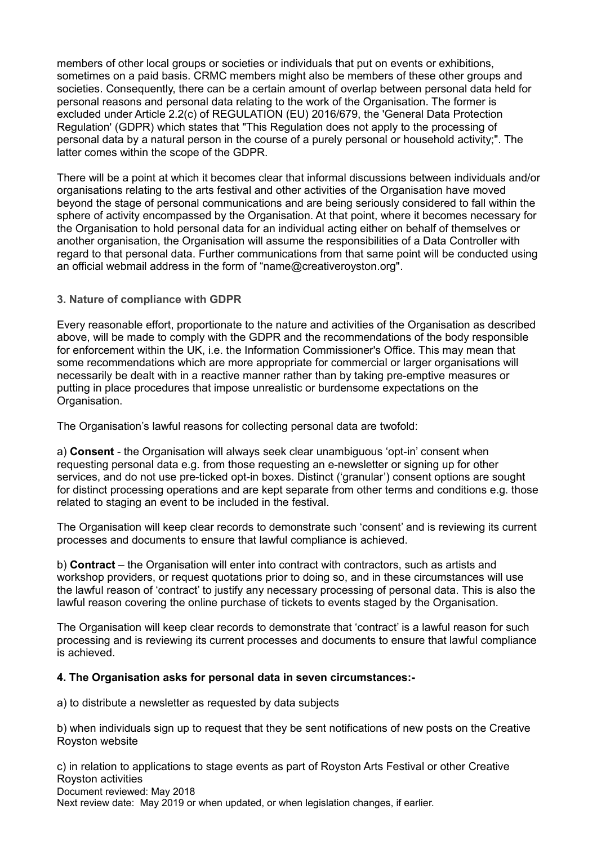members of other local groups or societies or individuals that put on events or exhibitions, sometimes on a paid basis. CRMC members might also be members of these other groups and societies. Consequently, there can be a certain amount of overlap between personal data held for personal reasons and personal data relating to the work of the Organisation. The former is excluded under Article 2.2(c) of REGULATION (EU) 2016/679, the 'General Data Protection Regulation' (GDPR) which states that "This Regulation does not apply to the processing of personal data by a natural person in the course of a purely personal or household activity;". The latter comes within the scope of the GDPR.

There will be a point at which it becomes clear that informal discussions between individuals and/or organisations relating to the arts festival and other activities of the Organisation have moved beyond the stage of personal communications and are being seriously considered to fall within the sphere of activity encompassed by the Organisation. At that point, where it becomes necessary for the Organisation to hold personal data for an individual acting either on behalf of themselves or another organisation, the Organisation will assume the responsibilities of a Data Controller with regard to that personal data. Further communications from that same point will be conducted using an official webmail address in the form of "name@creativeroyston.org".

## **3. Nature of compliance with GDPR**

Every reasonable effort, proportionate to the nature and activities of the Organisation as described above, will be made to comply with the GDPR and the recommendations of the body responsible for enforcement within the UK, i.e. the Information Commissioner's Office. This may mean that some recommendations which are more appropriate for commercial or larger organisations will necessarily be dealt with in a reactive manner rather than by taking pre-emptive measures or putting in place procedures that impose unrealistic or burdensome expectations on the Organisation.

The Organisation's lawful reasons for collecting personal data are twofold:

a) **Consent** - the Organisation will always seek clear unambiguous 'opt-in' consent when requesting personal data e.g. from those requesting an e-newsletter or signing up for other services, and do not use pre-ticked opt-in boxes. Distinct ('granular') consent options are sought for distinct processing operations and are kept separate from other terms and conditions e.g. those related to staging an event to be included in the festival.

The Organisation will keep clear records to demonstrate such 'consent' and is reviewing its current processes and documents to ensure that lawful compliance is achieved.

b) **Contract** – the Organisation will enter into contract with contractors, such as artists and workshop providers, or request quotations prior to doing so, and in these circumstances will use the lawful reason of 'contract' to justify any necessary processing of personal data. This is also the lawful reason covering the online purchase of tickets to events staged by the Organisation.

The Organisation will keep clear records to demonstrate that 'contract' is a lawful reason for such processing and is reviewing its current processes and documents to ensure that lawful compliance is achieved.

#### **4. The Organisation asks for personal data in seven circumstances:-**

a) to distribute a newsletter as requested by data subjects

b) when individuals sign up to request that they be sent notifications of new posts on the Creative Royston website

c) in relation to applications to stage events as part of Royston Arts Festival or other Creative Royston activities Document reviewed: May 2018 Next review date: May 2019 or when updated, or when legislation changes, if earlier.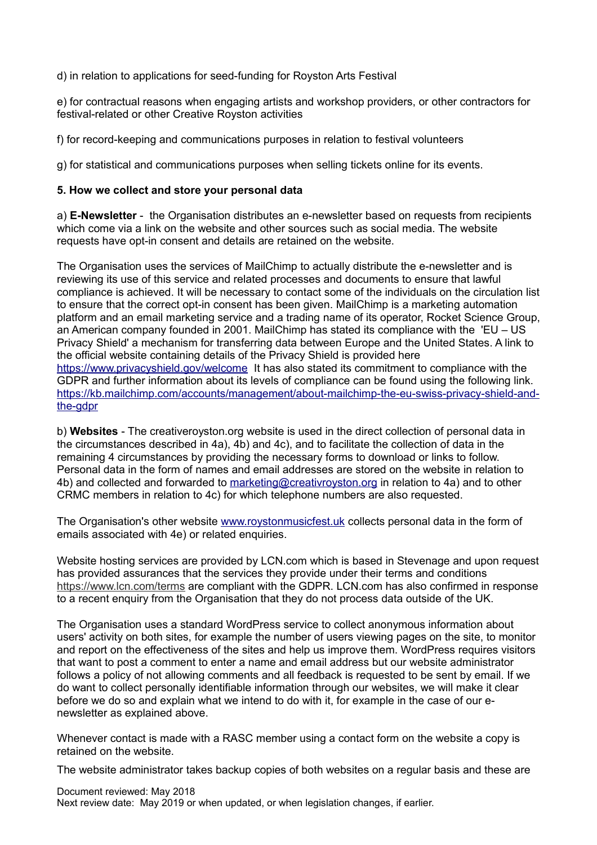d) in relation to applications for seed-funding for Royston Arts Festival

e) for contractual reasons when engaging artists and workshop providers, or other contractors for festival-related or other Creative Royston activities

f) for record-keeping and communications purposes in relation to festival volunteers

g) for statistical and communications purposes when selling tickets online for its events.

#### **5. How we collect and store your personal data**

a) **E-Newsletter** - the Organisation distributes an e-newsletter based on requests from recipients which come via a link on the website and other sources such as social media. The website requests have opt-in consent and details are retained on the website.

The Organisation uses the services of MailChimp to actually distribute the e-newsletter and is reviewing its use of this service and related processes and documents to ensure that lawful compliance is achieved. It will be necessary to contact some of the individuals on the circulation list to ensure that the correct opt-in consent has been given. MailChimp is a marketing automation platform and an email marketing service and a trading name of its operator, Rocket Science Group, an American company founded in 2001. MailChimp has stated its compliance with the 'EU – US Privacy Shield' a mechanism for transferring data between Europe and the United States. A link to the official website containing details of the Privacy Shield is provided here <https://www.privacyshield.gov/welcome>It has also stated its commitment to compliance with the GDPR and further information about its levels of compliance can be found using the following link. [https://kb.mailchimp.com/accounts/management/about-mailchimp-the-eu-swiss-privacy-shield-and](https://kb.mailchimp.com/accounts/management/about-mailchimp-the-eu-swiss-privacy-shield-and-the-gdpr)[the-gdpr](https://kb.mailchimp.com/accounts/management/about-mailchimp-the-eu-swiss-privacy-shield-and-the-gdpr)

b) **Websites** - The creativeroyston.org website is used in the direct collection of personal data in the circumstances described in 4a), 4b) and 4c), and to facilitate the collection of data in the remaining 4 circumstances by providing the necessary forms to download or links to follow. Personal data in the form of names and email addresses are stored on the website in relation to 4b) and collected and forwarded to [marketing@creativroyston.org](mailto:marketing@creativeroyston.org) in relation to 4a) and to other CRMC members in relation to 4c) for which telephone numbers are also requested.

The Organisation's other website [www.roystonmusicfest.uk](http://www.roystonmusicfest.uk/) collects personal data in the form of emails associated with 4e) or related enquiries.

Website hosting services are provided by LCN.com which is based in Stevenage and upon request has provided assurances that the services they provide under their terms and conditions <https://www.lcn.com/terms> are compliant with the GDPR. LCN.com has also confirmed in response to a recent enquiry from the Organisation that they do not process data outside of the UK.

The Organisation uses a standard WordPress service to collect anonymous information about users' activity on both sites, for example the number of users viewing pages on the site, to monitor and report on the effectiveness of the sites and help us improve them. WordPress requires visitors that want to post a comment to enter a name and email address but our website administrator follows a policy of not allowing comments and all feedback is requested to be sent by email. If we do want to collect personally identifiable information through our websites, we will make it clear before we do so and explain what we intend to do with it, for example in the case of our enewsletter as explained above.

Whenever contact is made with a RASC member using a contact form on the website a copy is retained on the website.

The website administrator takes backup copies of both websites on a regular basis and these are

Document reviewed: May 2018 Next review date: May 2019 or when updated, or when legislation changes, if earlier.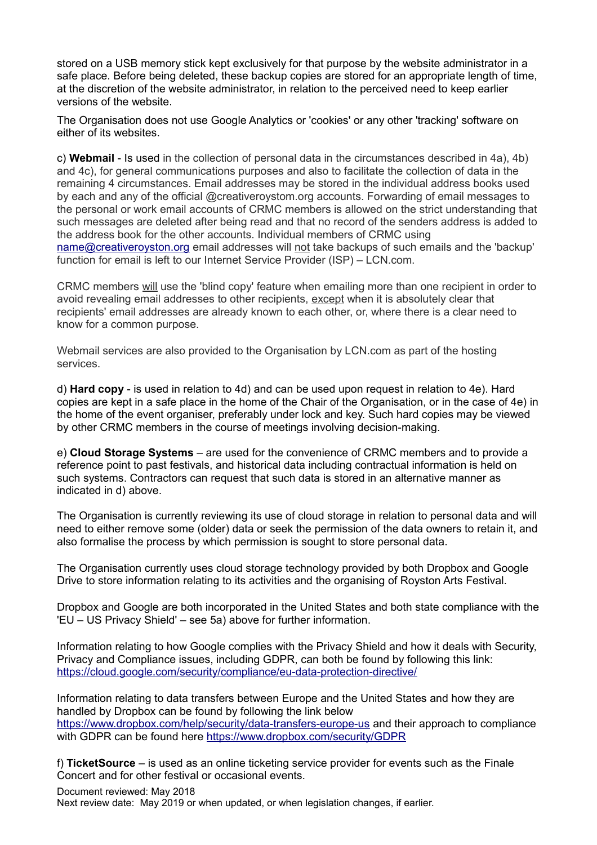stored on a USB memory stick kept exclusively for that purpose by the website administrator in a safe place. Before being deleted, these backup copies are stored for an appropriate length of time, at the discretion of the website administrator, in relation to the perceived need to keep earlier versions of the website.

The Organisation does not use Google Analytics or 'cookies' or any other 'tracking' software on either of its websites

c) **Webmail** - Is used in the collection of personal data in the circumstances described in 4a), 4b) and 4c), for general communications purposes and also to facilitate the collection of data in the remaining 4 circumstances. Email addresses may be stored in the individual address books used by each and any of the official @creativeroystom.org accounts. Forwarding of email messages to the personal or work email accounts of CRMC members is allowed on the strict understanding that such messages are deleted after being read and that no record of the senders address is added to the address book for the other accounts. Individual members of CRMC using [name@creativeroyston.org](mailto:name@creativeroyston.org) email addresses will not take backups of such emails and the 'backup' function for email is left to our Internet Service Provider (ISP) – LCN.com.

CRMC members will use the 'blind copy' feature when emailing more than one recipient in order to avoid revealing email addresses to other recipients, except when it is absolutely clear that recipients' email addresses are already known to each other, or, where there is a clear need to know for a common purpose.

Webmail services are also provided to the Organisation by LCN.com as part of the hosting services.

d) **Hard copy** - is used in relation to 4d) and can be used upon request in relation to 4e). Hard copies are kept in a safe place in the home of the Chair of the Organisation, or in the case of 4e) in the home of the event organiser, preferably under lock and key. Such hard copies may be viewed by other CRMC members in the course of meetings involving decision-making.

e) **Cloud Storage Systems** – are used for the convenience of CRMC members and to provide a reference point to past festivals, and historical data including contractual information is held on such systems. Contractors can request that such data is stored in an alternative manner as indicated in d) above.

The Organisation is currently reviewing its use of cloud storage in relation to personal data and will need to either remove some (older) data or seek the permission of the data owners to retain it, and also formalise the process by which permission is sought to store personal data.

The Organisation currently uses cloud storage technology provided by both Dropbox and Google Drive to store information relating to its activities and the organising of Royston Arts Festival.

Dropbox and Google are both incorporated in the United States and both state compliance with the 'EU – US Privacy Shield' – see 5a) above for further information.

Information relating to how Google complies with the Privacy Shield and how it deals with Security, Privacy and Compliance issues, including GDPR, can both be found by following this link: <https://cloud.google.com/security/compliance/eu-data-protection-directive/>

Information relating to data transfers between Europe and the United States and how they are handled by Dropbox can be found by following the link below <https://www.dropbox.com/help/security/data-transfers-europe-us>and their approach to compliance with GDPR can be found here<https://www.dropbox.com/security/GDPR>

f) **TicketSource** – is used as an online ticketing service provider for events such as the Finale Concert and for other festival or occasional events.

Document reviewed: May 2018 Next review date: May 2019 or when updated, or when legislation changes, if earlier.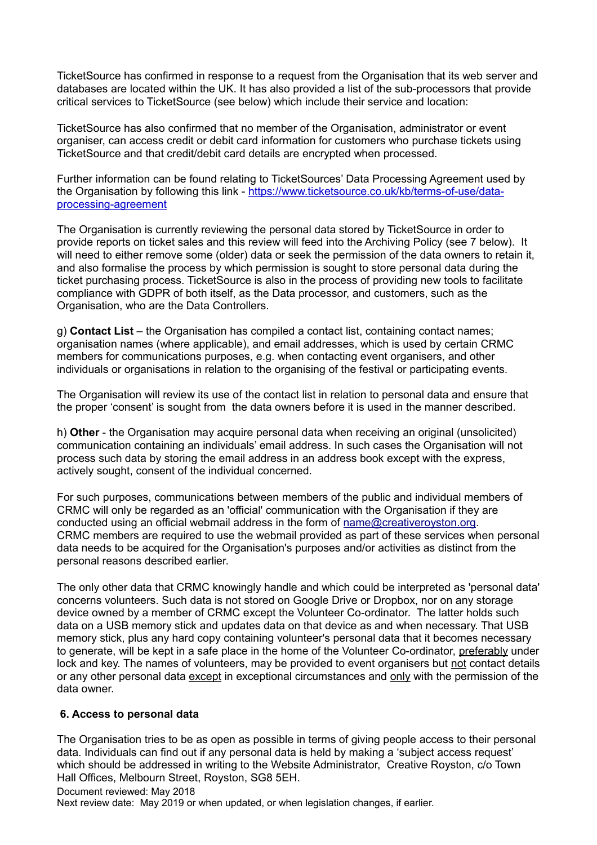TicketSource has confirmed in response to a request from the Organisation that its web server and databases are located within the UK. It has also provided a list of the sub-processors that provide critical services to TicketSource (see below) which include their service and location:

TicketSource has also confirmed that no member of the Organisation, administrator or event organiser, can access credit or debit card information for customers who purchase tickets using TicketSource and that credit/debit card details are encrypted when processed.

Further information can be found relating to TicketSources' Data Processing Agreement used by the Organisation by following this link - [https://www.ticketsource.co.uk/kb/terms-of-use/data](https://mandrillapp.com/track/click/30479222/www.ticketsource.co.uk?p=eyJzIjoiWUdGR3Nfel85Wm5XUk9IaGp4TU14S2VKRDRFIiwidiI6MSwicCI6IntcInVcIjozMDQ3OTIyMixcInZcIjoxLFwidXJsXCI6XCJodHRwczpcXFwvXFxcL3d3dy50aWNrZXRzb3VyY2UuY28udWtcXFwva2JcXFwvdGVybXMtb2YtdXNlXFxcL2RhdGEtcHJvY2Vzc2luZy1hZ3JlZW1lbnRcIixcImlkXCI6XCJkM2NkOTE3YWIxMDg0MWIzOGNmNTIwYTVmMDRkODJmM1wiLFwidXJsX2lkc1wiOltcIjUyMDhmMjM0MjI0MzIyOWU5NDM3ZjFiM2ZmZDZiODYzZDRkNWZjNDRcIl19In0)[processing-agreement](https://mandrillapp.com/track/click/30479222/www.ticketsource.co.uk?p=eyJzIjoiWUdGR3Nfel85Wm5XUk9IaGp4TU14S2VKRDRFIiwidiI6MSwicCI6IntcInVcIjozMDQ3OTIyMixcInZcIjoxLFwidXJsXCI6XCJodHRwczpcXFwvXFxcL3d3dy50aWNrZXRzb3VyY2UuY28udWtcXFwva2JcXFwvdGVybXMtb2YtdXNlXFxcL2RhdGEtcHJvY2Vzc2luZy1hZ3JlZW1lbnRcIixcImlkXCI6XCJkM2NkOTE3YWIxMDg0MWIzOGNmNTIwYTVmMDRkODJmM1wiLFwidXJsX2lkc1wiOltcIjUyMDhmMjM0MjI0MzIyOWU5NDM3ZjFiM2ZmZDZiODYzZDRkNWZjNDRcIl19In0)

The Organisation is currently reviewing the personal data stored by TicketSource in order to provide reports on ticket sales and this review will feed into the Archiving Policy (see 7 below). It will need to either remove some (older) data or seek the permission of the data owners to retain it, and also formalise the process by which permission is sought to store personal data during the ticket purchasing process. TicketSource is also in the process of providing new tools to facilitate compliance with GDPR of both itself, as the Data processor, and customers, such as the Organisation, who are the Data Controllers.

g) **Contact List** – the Organisation has compiled a contact list, containing contact names; organisation names (where applicable), and email addresses, which is used by certain CRMC members for communications purposes, e.g. when contacting event organisers, and other individuals or organisations in relation to the organising of the festival or participating events.

The Organisation will review its use of the contact list in relation to personal data and ensure that the proper 'consent' is sought from the data owners before it is used in the manner described.

h) **Other** - the Organisation may acquire personal data when receiving an original (unsolicited) communication containing an individuals' email address. In such cases the Organisation will not process such data by storing the email address in an address book except with the express, actively sought, consent of the individual concerned.

For such purposes, communications between members of the public and individual members of CRMC will only be regarded as an 'official' communication with the Organisation if they are conducted using an official webmail address in the form of [name@creativeroyston.org.](mailto:name@creativeroyston.org) CRMC members are required to use the webmail provided as part of these services when personal data needs to be acquired for the Organisation's purposes and/or activities as distinct from the personal reasons described earlier.

The only other data that CRMC knowingly handle and which could be interpreted as 'personal data' concerns volunteers. Such data is not stored on Google Drive or Dropbox, nor on any storage device owned by a member of CRMC except the Volunteer Co-ordinator. The latter holds such data on a USB memory stick and updates data on that device as and when necessary. That USB memory stick, plus any hard copy containing volunteer's personal data that it becomes necessary to generate, will be kept in a safe place in the home of the Volunteer Co-ordinator, preferably under lock and key. The names of volunteers, may be provided to event organisers but not contact details or any other personal data except in exceptional circumstances and only with the permission of the data owner.

#### **6. Access to personal data**

The Organisation tries to be as open as possible in terms of giving people access to their personal data. Individuals can find out if any personal data is held by making a 'subject access request' which should be addressed in writing to the Website Administrator, Creative Royston, c/o Town Hall Offices, Melbourn Street, Royston, SG8 5EH.

Document reviewed: May 2018

Next review date: May 2019 or when updated, or when legislation changes, if earlier.